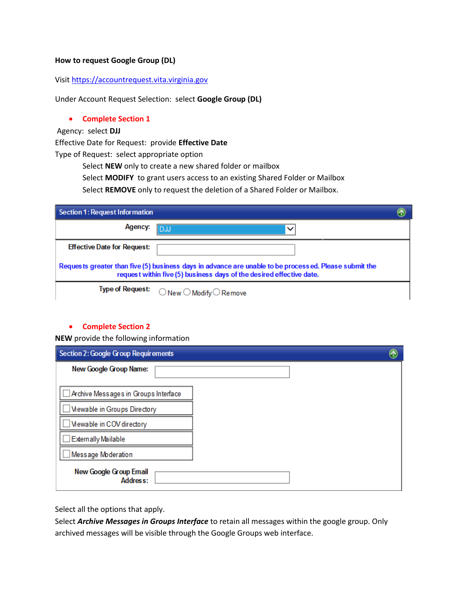## **How to request Google Group (DL)**

## Visit [https://accountrequest.vita.virginia.gov](https://accountrequest.vita.virginia.gov/)

Under Account Request Selection: select **Google Group (DL)**

### **Complete Section 1**

Agency: select **DJJ**

Effective Date for Request: provide **Effective Date**

Type of Request: select appropriate option

Select **NEW** only to create a new shared folder or mailbox

Select **MODIFY** to grant users access to an existing Shared Folder or Mailbox

Select **REMOVE** only to request the deletion of a Shared Folder or Mailbox.

| Section 1: Request Information                                                                                                                                                |                                                    |  |
|-------------------------------------------------------------------------------------------------------------------------------------------------------------------------------|----------------------------------------------------|--|
| Agency:                                                                                                                                                                       |                                                    |  |
| <b>Effective Date for Request:</b>                                                                                                                                            |                                                    |  |
| Requests greater than five (5) business days in advance are unable to be processed. Please submit the<br>request within five (5) business days of the desired effective date. |                                                    |  |
| Type of Request:                                                                                                                                                              | $\bigcirc$ New $\bigcirc$ Modify $\bigcirc$ Remove |  |

### **Complete Section 2**

**NEW** provide the following information

| Section 2: Google Group Requirements                                                            |  |
|-------------------------------------------------------------------------------------------------|--|
| New Google Group Name:                                                                          |  |
| Archive Messages in Groups Interface<br>Mewable in Groups Directory<br>Mewable in COV directory |  |
| <b>Externally Mailable</b><br>Message Moderation                                                |  |
| <b>New Google Group Email</b><br>Address:                                                       |  |

Select all the options that apply.

Select *Archive Messages in Groups Interface* to retain all messages within the google group. Only archived messages will be visible through the Google Groups web interface.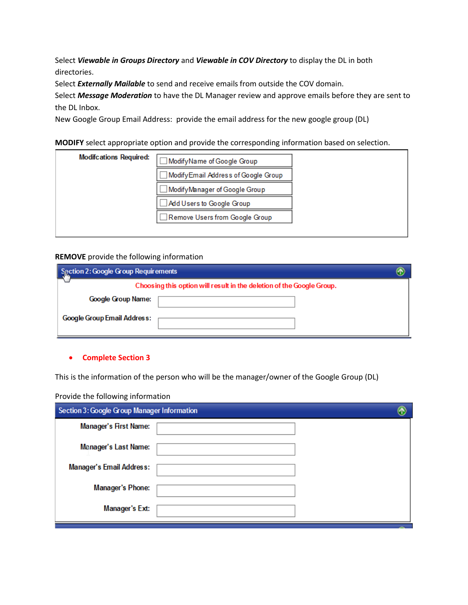Select *Viewable in Groups Directory* and *Viewable in COV Directory* to display the DL in both directories.

Select *Externally Mailable* to send and receive emails from outside the COV domain.

Select *Message Moderation* to have the DL Manager review and approve emails before they are sent to the DL Inbox.

New Google Group Email Address: provide the email address for the new google group (DL)

**MODIFY** select appropriate option and provide the corresponding information based on selection.

| <b>Modifcations Required:</b> | ModifyName of Google Group          |
|-------------------------------|-------------------------------------|
|                               | ModifyEmail Address of Google Group |
|                               | ModifyManager of Google Group       |
|                               | Add Users to Google Group           |
|                               | Remove Users from Google Group      |
|                               |                                     |

## **REMOVE** provide the following information

| Section 2: Google Group Requirements |                                                                       |  |
|--------------------------------------|-----------------------------------------------------------------------|--|
|                                      | Choosing this option will result in the deletion of the Google Group. |  |
| Google Group Name:                   |                                                                       |  |
| <b>Google Group Email Address:</b>   |                                                                       |  |

## **Complete Section 3**

This is the information of the person who will be the manager/owner of the Google Group (DL)

Provide the following information

| Section 3: Google Group Manager Information |  |
|---------------------------------------------|--|
| <b>Manager's First Name:</b>                |  |
| Manager's Last Name:                        |  |
| <b>Manager's Email Address:</b>             |  |
| <b>Manager's Phone:</b>                     |  |
| <b>Manager's Ext:</b>                       |  |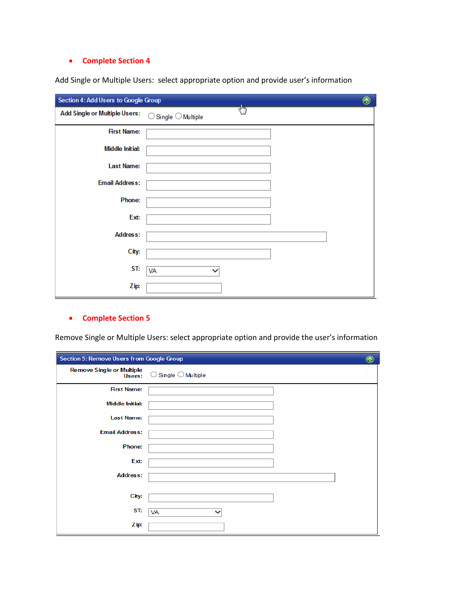# **•** Complete Section 4

Add Single or Multiple Users: select appropriate option and provide user's information

| $^\circledR$<br>Section 4: Add Users to Google Group |                                              |  |
|------------------------------------------------------|----------------------------------------------|--|
| <b>Add Single or Multiple Users:</b>                 | dh)<br>$\bigcirc$ Single $\bigcirc$ Multiple |  |
| <b>First Name:</b>                                   |                                              |  |
| <b>Middle Initial:</b>                               |                                              |  |
| <b>Last Name:</b>                                    |                                              |  |
| <b>Email Address:</b>                                |                                              |  |
| Phone:                                               |                                              |  |
| Ext:                                                 |                                              |  |
| <b>Address:</b>                                      |                                              |  |
| City:                                                |                                              |  |
| ST:                                                  | VA                                           |  |
| Zip:                                                 |                                              |  |

# **Complete Section 5**

| Section 5: Remove Users from Google Group  |                                       | ⊛ |
|--------------------------------------------|---------------------------------------|---|
| <b>Remove Single or Multiple</b><br>Users: | $\bigcirc$ Single $\bigcirc$ Multiple |   |
| <b>First Name:</b>                         |                                       |   |
| <b>Middle Initial:</b>                     |                                       |   |
| <b>Last Name:</b>                          |                                       |   |
| <b>Email Address:</b>                      |                                       |   |
| <b>Phone:</b>                              |                                       |   |
| Ext:                                       |                                       |   |
| <b>Address:</b>                            |                                       |   |
| City:                                      |                                       |   |
| ST:                                        | VA                                    |   |
| Zip:                                       |                                       |   |

Remove Single or Multiple Users: select appropriate option and provide the user's information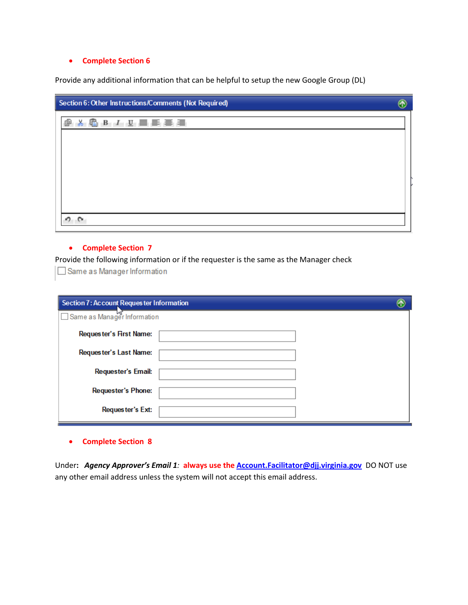### **Complete Section 6**

Provide any additional information that can be helpful to setup the new Google Group (DL)

| Section 6: Other Instructions/Comments (Not Required) |  |
|-------------------------------------------------------|--|
| <b>8 6 B J U 画 画 画 画 画</b><br>⊕                       |  |
|                                                       |  |
|                                                       |  |
|                                                       |  |
|                                                       |  |
|                                                       |  |
|                                                       |  |

### **Complete Section 7**

Provide the following information or if the requester is the same as the Manager check

Same as Manager Information

| <b>Section 7: Account Requester Information</b> |  |
|-------------------------------------------------|--|
| □ Same as Manager Information                   |  |
| Requester's First Name:                         |  |
| Requester's Last Name:                          |  |
| <b>Requester's Email:</b>                       |  |
| <b>Requester's Phone:</b>                       |  |
| Requester's Ext:                                |  |

**Complete Section 8**

Under**:** *Agency Approver's Email 1:* **always use the [Account.Facilitator@djj.virginia.gov](mailto:Account.Facilitator@djj.virginia.gov)** DO NOT use any other email address unless the system will not accept this email address.